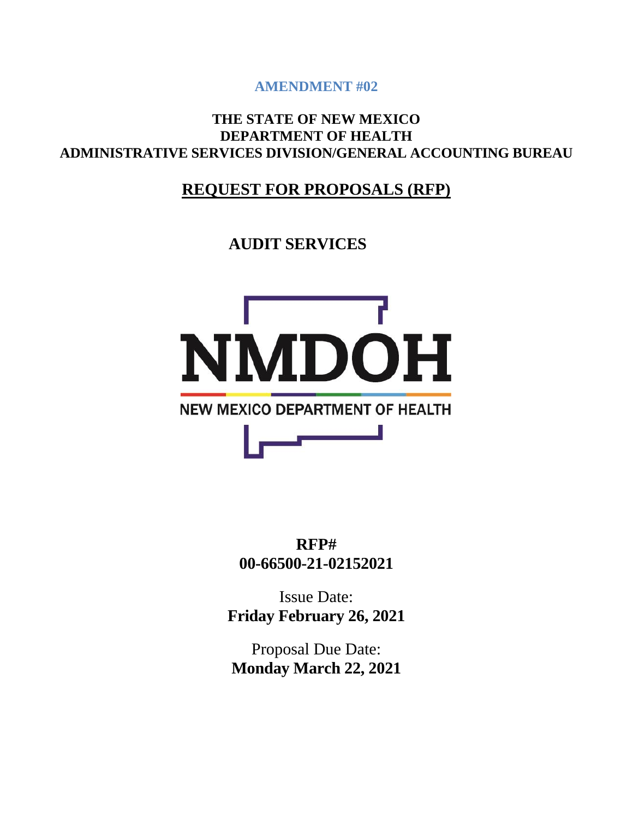**AMENDMENT #02**

## **THE STATE OF NEW MEXICO DEPARTMENT OF HEALTH ADMINISTRATIVE SERVICES DIVISION/GENERAL ACCOUNTING BUREAU**

## **REQUEST FOR PROPOSALS (RFP)**

**AUDIT SERVICES**



**RFP# 00-66500-21-02152021**

Issue Date: **Friday February 26, 2021**

Proposal Due Date: **Monday March 22, 2021**